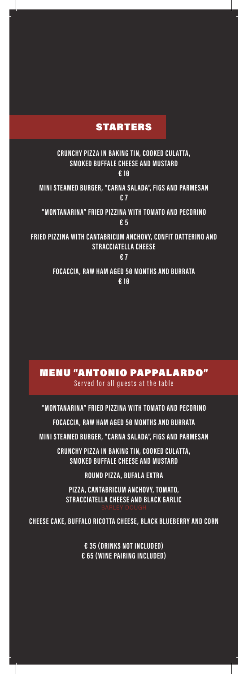## STARTERS

**CRUNCHY PIZZA IN BAKING TIN, COOKED CULAT TA, SMOKED BUFFALE CHEESE AND MUSTARD € 10 MINI STE AMED BURGER, "CARNA SAL ADA", FIGS AND PARMESAN € 7 "MONTANARINA" FRIED PIZZINA WITH TOMATO AND PECORINO € 5 FRIED PIZZINA WITH CANTABRICUM ANCHOVY, CONFIT DATTERINO AND STRACCIATELLA CHEESE**

**€ 7**

**FOCACCIA, RAW HAM AGED 50 MONTHS AND BURRATA € 10**

MENU "ANTONIO PAPPALARDO" Served for all guests at the table

**"MONTANARINA" FRIED PIZZINA WITH TOMATO AND PECORINO FOCACCIA, RAW HAM AGED 50 MONTHS AND BURRATA MINI STE AMED BURGER, "CARNA SAL ADA", FIGS AND PARMESAN CRUNCHY PIZZA IN BAKING TIN, COOKED CULAT TA,**

**SMOKED BUFFALE CHEESE AND MUSTARD**

**ROUND PIZZA, BUFALA EXTRA**

**PIZ Z A, CANTABRICUM ANCHOVY, TOMATO, STRACCIATELLA CHEESE AND BLACK GARLIC**

**CHEESE CAKE, BUFFALO RICOTTA CHEESE, BLACK BLUEBERRY AND CORN**

**€ 35 (DRINKS NOT INCLUDED) € 65 (WINE PAIRING INCLUDED)**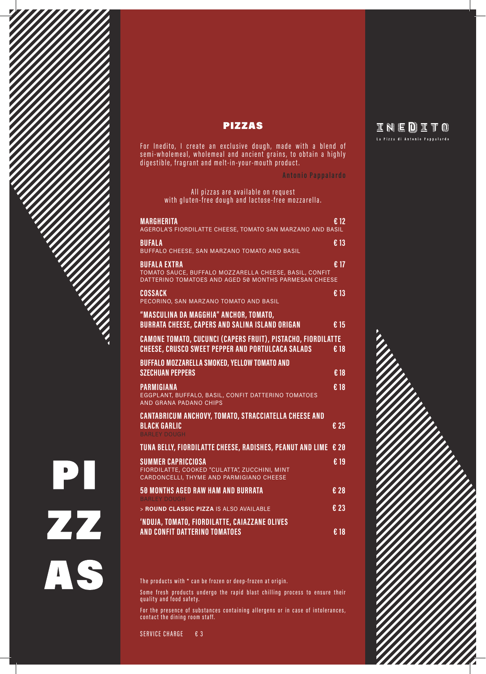

For Inedito, I create an exclusive dough, made with a blend of semi-wholemeal, wholemeal and ancient grains, to obtain a highly digestible, fragrant and melt-in-your-mouth product.

**Antonio Pappalardo**

All pizzas are available on request with gluten-free dough and lactose-free mozzarella.

| <b>MARGHERITA</b><br>AGEROLA'S FIORDILATTE CHEESE, TOMATO SAN MARZANO AND BASIL                                                        | £ 12                     |
|----------------------------------------------------------------------------------------------------------------------------------------|--------------------------|
| <b>BUFALA</b><br>BUFFALO CHEESE, SAN MARZANO TOMATO AND BASIL                                                                          | € 13                     |
| <b>BUFALA EXTRA</b><br>TOMATO SAUCE, BUFFALO MOZZARELLA CHEESE, BASIL, CONFIT<br>DATTERINO TOMATOES AND AGED 50 MONTHS PARMESAN CHEESE | € 17                     |
| <b>COSSACK</b><br>PECORINO, SAN MARZANO TOMATO AND BASIL                                                                               | € 13                     |
| "MASCULINA DA MAGGHIA" ANCHOR, TOMATO,<br><b>BURRATA CHEESE, CAPERS AND SALINA ISLAND ORIGAN</b>                                       | € 15                     |
| CAMONE TOMATO, CUCUNCI (CAPERS FRUIT), PISTACHO, FIORDILATTE<br><b>CHEESE, CRUSCO SWEET PEPPER AND PORTULCACA SALADS</b>               | €18                      |
| BUFFALO MOZZARELLA SMOKED, YELLOW TOMATO AND<br><b>SZECHUAN PEPPERS</b>                                                                | €18                      |
| <b>PARMIGIANA</b><br>EGGPLANT, BUFFALO, BASIL, CONFIT DATTERINO TOMATOES<br>AND GRANA PADANO CHIPS                                     | €18                      |
| <b>CANTABRICUM ANCHOVY, TOMATO, STRACCIATELLA CHEESE AND</b><br><b>BLACK GARLIC</b><br><b>BARLEY DOUGH</b>                             | € 25                     |
| TUNA BELLY, FIORDILATTE CHEESE, RADISHES, PEANUT AND LIME                                                                              | € 20                     |
| <b>SUMMER CAPRICCIOSA</b><br>FIORDILATTE, COOKED "CULATTA", ZUCCHINI, MINT<br>CARDONCELLI, THYME AND PARMIGIANO CHEESE                 | $\overline{\epsilon}$ 19 |
| <b>50 MONTHS AGED RAW HAM AND BURRATA</b><br><b>BARLEY DOUGH</b>                                                                       | € 28                     |
| > ROUND CLASSIC PIZZA IS ALSO AVAILABLE                                                                                                | € 23                     |
| 'NDUJA, TOMATO, FIORDILATTE, CAIAZZANE OLIVES<br>AND CONFIT DATTERINO TOMATOES                                                         | €18                      |

The products with \* can be frozen or deep-frozen at origin.

Some fresh products undergo the rapid blast chilling process to ensure their quality and food safety.

For the presence of substances containing allergens or in case of intolerances, contact the dining room staff.

SERVICE CHARGE € 3

PI

ZZ

AS

## INEDITO La Pizza di Antonio Pappalardo

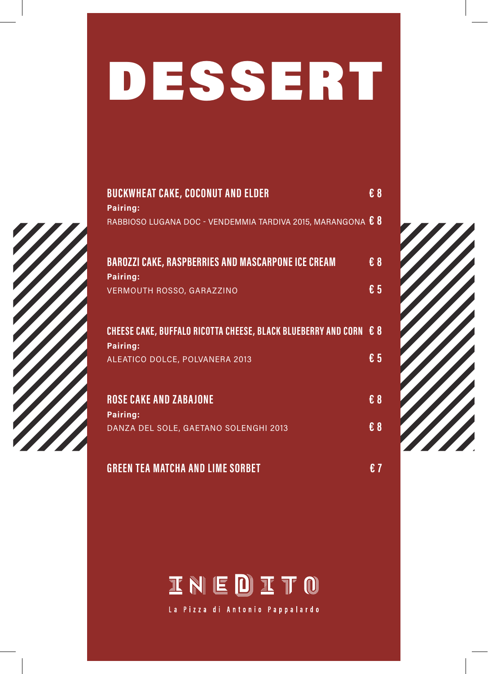## DESSERT



| <b>BUCKWHEAT CAKE, COCONUT AND ELDER</b>                                      | $\epsilon$ 8 |  |
|-------------------------------------------------------------------------------|--------------|--|
| Pairing:                                                                      |              |  |
| RABBIOSO LUGANA DOC - VENDEMMIA TARDIVA 2015, MARANGONA € 8                   |              |  |
| <b>BAROZZI CAKE, RASPBERRIES AND MASCARPONE ICE CREAM</b>                     | $\epsilon$ 8 |  |
| Pairing:                                                                      |              |  |
| <b>VERMOUTH ROSSO, GARAZZINO</b>                                              | € 5          |  |
| CHEESE CAKE, BUFFALO RICOTTA CHEESE, BLACK BLUEBERRY AND CORN € 8<br>Pairing: |              |  |
| ALEATICO DOLCE, POLVANERA 2013                                                | € 5          |  |
| <b>ROSE CAKE AND ZABAJONE</b>                                                 | $\epsilon$ 8 |  |
| Pairing:                                                                      |              |  |
| DANZA DEL SOLE, GAETANO SOLENGHI 2013                                         | $\epsilon$ 8 |  |
| <b>GREEN TEA MATCHA AND LIME SORBET</b>                                       | €7           |  |





La Pizza di Antonio Pappalardo